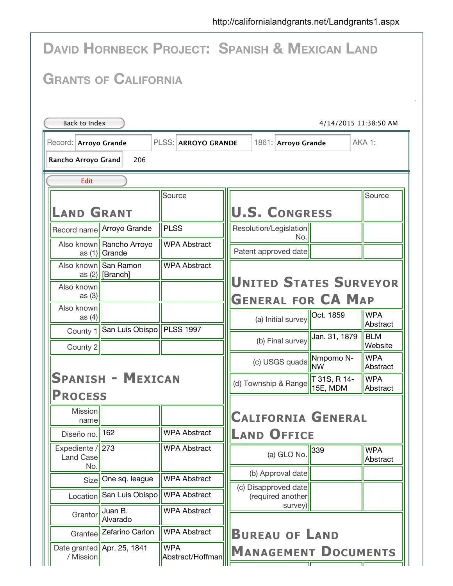| <b>DAVID HORNBECK PROJECT: SPANISH &amp; MEXICAN LAND</b>                     |                                              |                                |                      |                                                            |                         |                        |  |  |
|-------------------------------------------------------------------------------|----------------------------------------------|--------------------------------|----------------------|------------------------------------------------------------|-------------------------|------------------------|--|--|
| <b>GRANTS OF CALIFORNIA</b>                                                   |                                              |                                |                      |                                                            |                         |                        |  |  |
| Back to Index<br>4/14/2015 11:38:50 AM                                        |                                              |                                |                      |                                                            |                         |                        |  |  |
| AKA 1:<br>PLSS: ARROYO GRANDE<br>Record: Arroyo Grande<br>1861: Arroyo Grande |                                              |                                |                      |                                                            |                         |                        |  |  |
| Rancho Arroyo Grand<br>206                                                    |                                              |                                |                      |                                                            |                         |                        |  |  |
| Edit                                                                          |                                              |                                |                      |                                                            |                         |                        |  |  |
|                                                                               |                                              | Source                         |                      |                                                            |                         | Source                 |  |  |
| <b>LAND GRANT</b>                                                             |                                              |                                | <b>U.S. CONGRESS</b> |                                                            |                         |                        |  |  |
| Record name                                                                   | Arroyo Grande                                | <b>PLSS</b>                    |                      | Resolution/Legislation<br>No.                              |                         |                        |  |  |
|                                                                               | Also known Rancho Arroyo<br>as (1) Grande    | <b>WPA Abstract</b>            |                      | Patent approved date                                       |                         |                        |  |  |
|                                                                               | Also known   San Ramon<br>as $(2)$  [Branch] | <b>WPA Abstract</b>            |                      |                                                            |                         |                        |  |  |
| Also known<br>as $(3)$                                                        |                                              |                                |                      | <b>UNITED STATES SURVEYOR</b><br><b>GENERAL FOR CA MAP</b> |                         |                        |  |  |
| Also known<br>as $(4)$                                                        |                                              |                                |                      | (a) Initial survey                                         | Oct. 1859               | <b>WPA</b>             |  |  |
|                                                                               | County 1 San Luis Obispo PLSS 1997           |                                |                      | (b) Final survey                                           | Jan. 31, 1879           | Abstract<br><b>BLM</b> |  |  |
| County 2                                                                      |                                              |                                |                      |                                                            |                         | Website                |  |  |
|                                                                               |                                              |                                |                      | (c) USGS quads                                             | Nmpomo N-<br><b>INW</b> | <b>WPA</b><br>Abstract |  |  |
| <b>SPANISH - MEXICAN</b>                                                      |                                              |                                | (d) Township & Range | T 31S, R 14-<br>15E, MDM                                   | <b>WPA</b><br>Abstract  |                        |  |  |
| <b>PROCESS</b><br>Mission<br>name                                             |                                              |                                |                      | <b>CALIFORNIA GENERAL</b>                                  |                         |                        |  |  |
| Diseño no.                                                                    | 162                                          | <b>WPA Abstract</b>            |                      | <b>LAND OFFICE</b>                                         |                         |                        |  |  |
| Expediente / $\sqrt{273}$<br>Land Case                                        |                                              | <b>WPA Abstract</b>            |                      | (a) GLO No.                                                | 339                     | <b>WPA</b><br>Abstract |  |  |
| No.<br>Size                                                                   | One sq. league                               | <b>WPA Abstract</b>            |                      | (b) Approval date                                          |                         |                        |  |  |
| Location                                                                      | San Luis Obispo                              | <b>WPA Abstract</b>            |                      | (c) Disapproved date<br>(required another                  |                         |                        |  |  |
| Grantor                                                                       | Juan B.<br>Alvarado                          | <b>WPA Abstract</b>            |                      | survey)                                                    |                         |                        |  |  |
| Grantee                                                                       | Zefarino Carlon                              | <b>WPA Abstract</b>            |                      | <b>BUREAU OF LAND</b>                                      |                         |                        |  |  |
| / Mission                                                                     | Date granted   Apr. 25, 1841                 | <b>WPA</b><br>Abstract/Hoffman |                      | <b>MANAGEMENT DOCUMENTS</b>                                |                         |                        |  |  |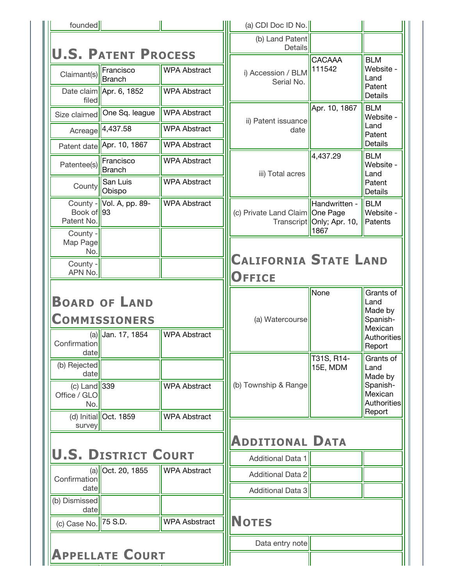| founded                                                               |                                                                   |                                            | (a) CDI Doc ID No.                |                                                      |                                                                                     |
|-----------------------------------------------------------------------|-------------------------------------------------------------------|--------------------------------------------|-----------------------------------|------------------------------------------------------|-------------------------------------------------------------------------------------|
|                                                                       | <b>U.S. PATENT PROCESS</b>                                        |                                            | (b) Land Patent<br><b>Details</b> |                                                      |                                                                                     |
| Claimant(s)                                                           | Francisco<br>Branch<br>Date claim   Apr. 6, 1852                  | <b>WPA Abstract</b><br><b>WPA Abstract</b> | i) Accession / BLM<br>Serial No.  | CACAAA<br>111542                                     | <b>BLM</b><br>Website -<br>Land<br>Patent                                           |
| filed                                                                 |                                                                   |                                            |                                   |                                                      | <b>Details</b>                                                                      |
| Size claimed                                                          | One Sq. league                                                    | <b>WPA Abstract</b>                        | ii) Patent issuance               | Apr. 10, 1867                                        | <b>BLM</b><br>Website -                                                             |
|                                                                       | Acreage 4,437.58                                                  | <b>WPA Abstract</b>                        | date                              |                                                      | Land<br>Patent                                                                      |
|                                                                       | Patent date Apr. 10, 1867                                         | <b>WPA Abstract</b>                        |                                   |                                                      | <b>Details</b><br><b>BLM</b>                                                        |
| Patentee(s)                                                           | Francisco<br><b>Branch</b>                                        | <b>WPA Abstract</b>                        | iii) Total acres                  | 4,437.29                                             | Website -<br>Land                                                                   |
| County                                                                | San Luis<br>Obispo                                                | <b>WPA Abstract</b>                        |                                   |                                                      | Patent<br><b>Details</b>                                                            |
| Book of 93<br>Patent No.                                              | County - Vol. A, pp. 89-                                          | <b>WPA Abstract</b>                        | (c) Private Land Claim   One Page | Handwritten -<br>Transcript   Only; Apr. 10,<br>1867 | <b>BLM</b><br>Website -<br>Patents                                                  |
| County -<br>Map Page<br>No.                                           |                                                                   |                                            | <b>CALIFORNIA STATE LAND</b>      |                                                      |                                                                                     |
| County -<br>APN No.                                                   |                                                                   |                                            | <b>OFFICE</b>                     |                                                      |                                                                                     |
| Confirmation                                                          | <b>BOARD OF LAND</b><br><b>COMMISSIONERS</b><br>(a) Jan. 17, 1854 | <b>WPA Abstract</b>                        | (a) Watercourse                   | None                                                 | Grants of<br>Land<br>Made by<br>Spanish-<br>Mexican<br><b>Authorities</b><br>Report |
| date<br>(b) Rejected<br>date<br>(c) Land $339$<br>Office / GLO<br>No. | (d) Initial   Oct. 1859                                           | <b>WPA Abstract</b><br><b>WPA Abstract</b> | (b) Township & Range              | T31S, R14-<br>15E, MDM                               | Grants of<br>Land<br>Made by<br>Spanish-<br>Mexican<br>Authorities<br>Report        |
| survey                                                                |                                                                   |                                            |                                   |                                                      |                                                                                     |
|                                                                       |                                                                   |                                            | <b>ADDITIONAL DATA</b>            |                                                      |                                                                                     |
|                                                                       | <b>U.S. DISTRICT COURT</b>                                        |                                            | <b>Additional Data 1</b>          |                                                      |                                                                                     |
|                                                                       |                                                                   |                                            |                                   |                                                      |                                                                                     |
| Confirmation                                                          | $(a)$ Oct. 20, 1855                                               | <b>WPA Abstract</b>                        | <b>Additional Data 2</b>          |                                                      |                                                                                     |
| date                                                                  |                                                                   |                                            | <b>Additional Data 3</b>          |                                                      |                                                                                     |
| (b) Dismissed<br>date<br>(c) Case No. 75 S.D.                         |                                                                   | <b>WPA Asbstract</b>                       | <b>NOTES</b>                      |                                                      |                                                                                     |
|                                                                       |                                                                   |                                            | Data entry note                   |                                                      |                                                                                     |